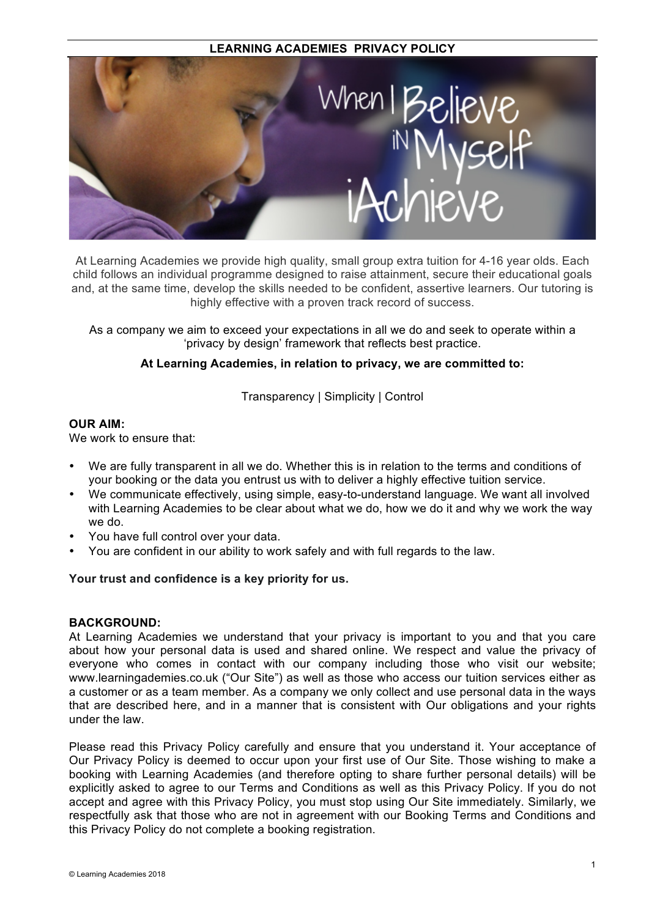## **LEARNING ACADEMIES PRIVACY POLICY**



At Learning Academies we provide high quality, small group extra tuition for 4-16 year olds. Each child follows an individual programme designed to raise attainment, secure their educational goals and, at the same time, develop the skills needed to be confident, assertive learners. Our tutoring is highly effective with a proven track record of success.

As a company we aim to exceed your expectations in all we do and seek to operate within a 'privacy by design' framework that reflects best practice.

#### **At Learning Academies, in relation to privacy, we are committed to:**

Transparency | Simplicity | Control

## **OUR AIM:**

We work to ensure that:

- We are fully transparent in all we do. Whether this is in relation to the terms and conditions of your booking or the data you entrust us with to deliver a highly effective tuition service.
- We communicate effectively, using simple, easy-to-understand language. We want all involved with Learning Academies to be clear about what we do, how we do it and why we work the way we do.
- You have full control over your data.
- You are confident in our ability to work safely and with full regards to the law.

#### **Your trust and confidence is a key priority for us.**

#### **BACKGROUND:**

At Learning Academies we understand that your privacy is important to you and that you care about how your personal data is used and shared online. We respect and value the privacy of everyone who comes in contact with our company including those who visit our website; www.learningademies.co.uk ("Our Site") as well as those who access our tuition services either as a customer or as a team member. As a company we only collect and use personal data in the ways that are described here, and in a manner that is consistent with Our obligations and your rights under the law.

Please read this Privacy Policy carefully and ensure that you understand it. Your acceptance of Our Privacy Policy is deemed to occur upon your first use of Our Site. Those wishing to make a booking with Learning Academies (and therefore opting to share further personal details) will be explicitly asked to agree to our Terms and Conditions as well as this Privacy Policy. If you do not accept and agree with this Privacy Policy, you must stop using Our Site immediately. Similarly, we respectfully ask that those who are not in agreement with our Booking Terms and Conditions and this Privacy Policy do not complete a booking registration.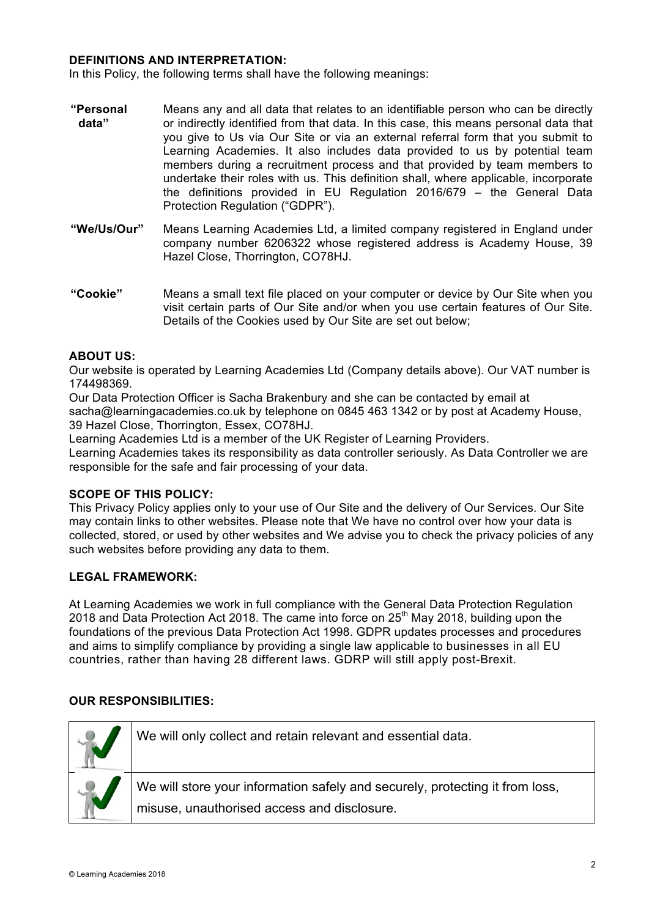#### **DEFINITIONS AND INTERPRETATION:**

In this Policy, the following terms shall have the following meanings:

- **"Personal data"** Means any and all data that relates to an identifiable person who can be directly or indirectly identified from that data. In this case, this means personal data that you give to Us via Our Site or via an external referral form that you submit to Learning Academies. It also includes data provided to us by potential team members during a recruitment process and that provided by team members to undertake their roles with us. This definition shall, where applicable, incorporate the definitions provided in EU Regulation 2016/679 – the General Data Protection Regulation ("GDPR").
- **"We/Us/Our"** Means Learning Academies Ltd, a limited company registered in England under company number 6206322 whose registered address is Academy House, 39 Hazel Close, Thorrington, CO78HJ.
- **"Cookie"** Means a small text file placed on your computer or device by Our Site when you visit certain parts of Our Site and/or when you use certain features of Our Site. Details of the Cookies used by Our Site are set out below;

## **ABOUT US:**

Our website is operated by Learning Academies Ltd (Company details above). Our VAT number is 174498369.

Our Data Protection Officer is Sacha Brakenbury and she can be contacted by email at sacha@learningacademies.co.uk by telephone on 0845 463 1342 or by post at Academy House, 39 Hazel Close, Thorrington, Essex, CO78HJ.

Learning Academies Ltd is a member of the UK Register of Learning Providers.

Learning Academies takes its responsibility as data controller seriously. As Data Controller we are responsible for the safe and fair processing of your data.

#### **SCOPE OF THIS POLICY:**

This Privacy Policy applies only to your use of Our Site and the delivery of Our Services. Our Site may contain links to other websites. Please note that We have no control over how your data is collected, stored, or used by other websites and We advise you to check the privacy policies of any such websites before providing any data to them.

#### **LEGAL FRAMEWORK:**

At Learning Academies we work in full compliance with the General Data Protection Regulation 2018 and Data Protection Act 2018. The came into force on  $25<sup>th</sup>$  May 2018, building upon the foundations of the previous Data Protection Act 1998. GDPR updates processes and procedures and aims to simplify compliance by providing a single law applicable to businesses in all EU countries, rather than having 28 different laws. GDRP will still apply post-Brexit.

#### **OUR RESPONSIBILITIES:**

| We will only collect and retain relevant and essential data.                                                                |
|-----------------------------------------------------------------------------------------------------------------------------|
| We will store your information safely and securely, protecting it from loss,<br>misuse, unauthorised access and disclosure. |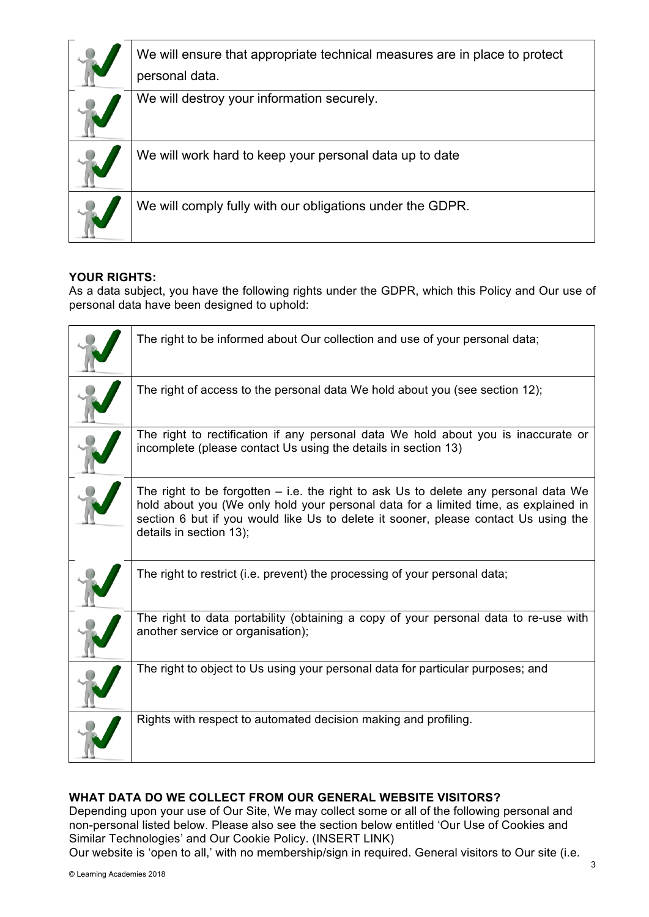| We will ensure that appropriate technical measures are in place to protect<br>personal data. |
|----------------------------------------------------------------------------------------------|
| We will destroy your information securely.                                                   |
| We will work hard to keep your personal data up to date                                      |
| We will comply fully with our obligations under the GDPR.                                    |

## **YOUR RIGHTS:**

As a data subject, you have the following rights under the GDPR, which this Policy and Our use of personal data have been designed to uphold:

| The right to be informed about Our collection and use of your personal data;                                                                                                                                                                                                                   |
|------------------------------------------------------------------------------------------------------------------------------------------------------------------------------------------------------------------------------------------------------------------------------------------------|
| The right of access to the personal data We hold about you (see section 12);                                                                                                                                                                                                                   |
| The right to rectification if any personal data We hold about you is inaccurate or<br>incomplete (please contact Us using the details in section 13)                                                                                                                                           |
| The right to be forgotten $-$ i.e. the right to ask Us to delete any personal data We<br>hold about you (We only hold your personal data for a limited time, as explained in<br>section 6 but if you would like Us to delete it sooner, please contact Us using the<br>details in section 13); |
| The right to restrict (i.e. prevent) the processing of your personal data;                                                                                                                                                                                                                     |
| The right to data portability (obtaining a copy of your personal data to re-use with<br>another service or organisation);                                                                                                                                                                      |
| The right to object to Us using your personal data for particular purposes; and                                                                                                                                                                                                                |
| Rights with respect to automated decision making and profiling.                                                                                                                                                                                                                                |

## **WHAT DATA DO WE COLLECT FROM OUR GENERAL WEBSITE VISITORS?**

Depending upon your use of Our Site, We may collect some or all of the following personal and non-personal listed below. Please also see the section below entitled 'Our Use of Cookies and Similar Technologies' and Our Cookie Policy. (INSERT LINK)

Our website is 'open to all,' with no membership/sign in required. General visitors to Our site (i.e.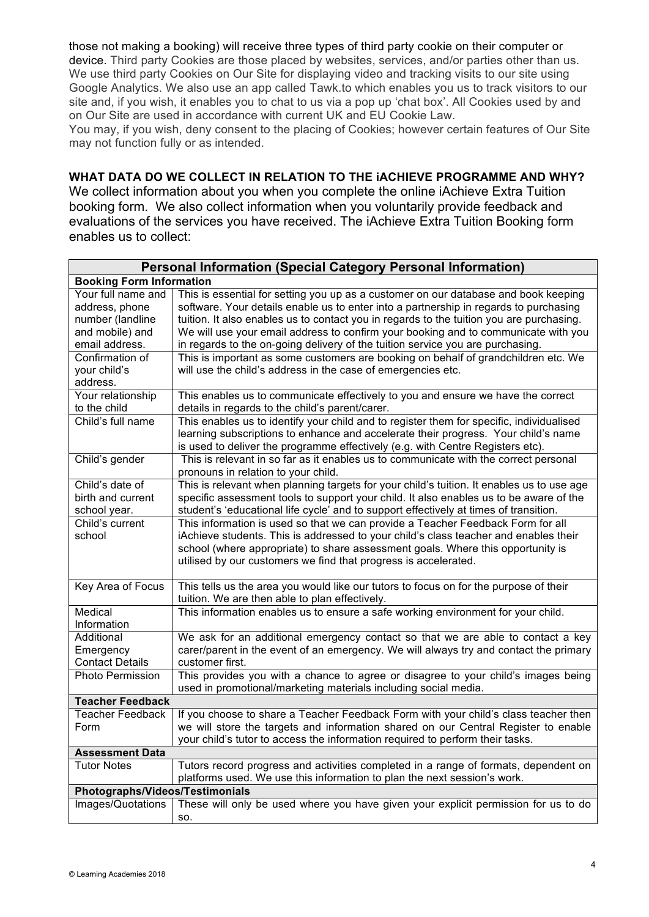those not making a booking) will receive three types of third party cookie on their computer or device. Third party Cookies are those placed by websites, services, and/or parties other than us. We use third party Cookies on Our Site for displaying video and tracking visits to our site using Google Analytics. We also use an app called Tawk.to which enables you us to track visitors to our site and, if you wish, it enables you to chat to us via a pop up 'chat box'. All Cookies used by and on Our Site are used in accordance with current UK and EU Cookie Law.

You may, if you wish, deny consent to the placing of Cookies; however certain features of Our Site may not function fully or as intended.

## **WHAT DATA DO WE COLLECT IN RELATION TO THE iACHIEVE PROGRAMME AND WHY?**

We collect information about you when you complete the online iAchieve Extra Tuition booking form. We also collect information when you voluntarily provide feedback and evaluations of the services you have received. The iAchieve Extra Tuition Booking form enables us to collect:

| <b>Personal Information (Special Category Personal Information)</b>                           |                                                                                                                                                                                                                                                                                                                                                                                                                                                  |  |  |  |
|-----------------------------------------------------------------------------------------------|--------------------------------------------------------------------------------------------------------------------------------------------------------------------------------------------------------------------------------------------------------------------------------------------------------------------------------------------------------------------------------------------------------------------------------------------------|--|--|--|
| <b>Booking Form Information</b>                                                               |                                                                                                                                                                                                                                                                                                                                                                                                                                                  |  |  |  |
| Your full name and<br>address, phone<br>number (landline<br>and mobile) and<br>email address. | This is essential for setting you up as a customer on our database and book keeping<br>software. Your details enable us to enter into a partnership in regards to purchasing<br>tuition. It also enables us to contact you in regards to the tuition you are purchasing.<br>We will use your email address to confirm your booking and to communicate with you<br>in regards to the on-going delivery of the tuition service you are purchasing. |  |  |  |
| Confirmation of<br>your child's<br>address.                                                   | This is important as some customers are booking on behalf of grandchildren etc. We<br>will use the child's address in the case of emergencies etc.                                                                                                                                                                                                                                                                                               |  |  |  |
| Your relationship<br>to the child                                                             | This enables us to communicate effectively to you and ensure we have the correct<br>details in regards to the child's parent/carer.                                                                                                                                                                                                                                                                                                              |  |  |  |
| Child's full name                                                                             | This enables us to identify your child and to register them for specific, individualised<br>learning subscriptions to enhance and accelerate their progress. Your child's name<br>is used to deliver the programme effectively (e.g. with Centre Registers etc).                                                                                                                                                                                 |  |  |  |
| Child's gender                                                                                | This is relevant in so far as it enables us to communicate with the correct personal<br>pronouns in relation to your child.                                                                                                                                                                                                                                                                                                                      |  |  |  |
| Child's date of<br>birth and current<br>school year.                                          | This is relevant when planning targets for your child's tuition. It enables us to use age<br>specific assessment tools to support your child. It also enables us to be aware of the<br>student's 'educational life cycle' and to support effectively at times of transition.                                                                                                                                                                     |  |  |  |
| Child's current<br>school                                                                     | This information is used so that we can provide a Teacher Feedback Form for all<br>iAchieve students. This is addressed to your child's class teacher and enables their<br>school (where appropriate) to share assessment goals. Where this opportunity is<br>utilised by our customers we find that progress is accelerated.                                                                                                                    |  |  |  |
| Key Area of Focus                                                                             | This tells us the area you would like our tutors to focus on for the purpose of their<br>tuition. We are then able to plan effectively.                                                                                                                                                                                                                                                                                                          |  |  |  |
| Medical<br>Information                                                                        | This information enables us to ensure a safe working environment for your child.                                                                                                                                                                                                                                                                                                                                                                 |  |  |  |
| Additional<br>Emergency<br><b>Contact Details</b>                                             | We ask for an additional emergency contact so that we are able to contact a key<br>carer/parent in the event of an emergency. We will always try and contact the primary<br>customer first.                                                                                                                                                                                                                                                      |  |  |  |
| <b>Photo Permission</b>                                                                       | This provides you with a chance to agree or disagree to your child's images being<br>used in promotional/marketing materials including social media.                                                                                                                                                                                                                                                                                             |  |  |  |
| <b>Teacher Feedback</b>                                                                       |                                                                                                                                                                                                                                                                                                                                                                                                                                                  |  |  |  |
| <b>Teacher Feedback</b><br>Form                                                               | If you choose to share a Teacher Feedback Form with your child's class teacher then<br>we will store the targets and information shared on our Central Register to enable<br>your child's tutor to access the information required to perform their tasks.                                                                                                                                                                                       |  |  |  |
| <b>Assessment Data</b>                                                                        |                                                                                                                                                                                                                                                                                                                                                                                                                                                  |  |  |  |
| <b>Tutor Notes</b>                                                                            | Tutors record progress and activities completed in a range of formats, dependent on<br>platforms used. We use this information to plan the next session's work.                                                                                                                                                                                                                                                                                  |  |  |  |
| Photographs/Videos/Testimonials                                                               |                                                                                                                                                                                                                                                                                                                                                                                                                                                  |  |  |  |
| Images/Quotations                                                                             | These will only be used where you have given your explicit permission for us to do<br>SO.                                                                                                                                                                                                                                                                                                                                                        |  |  |  |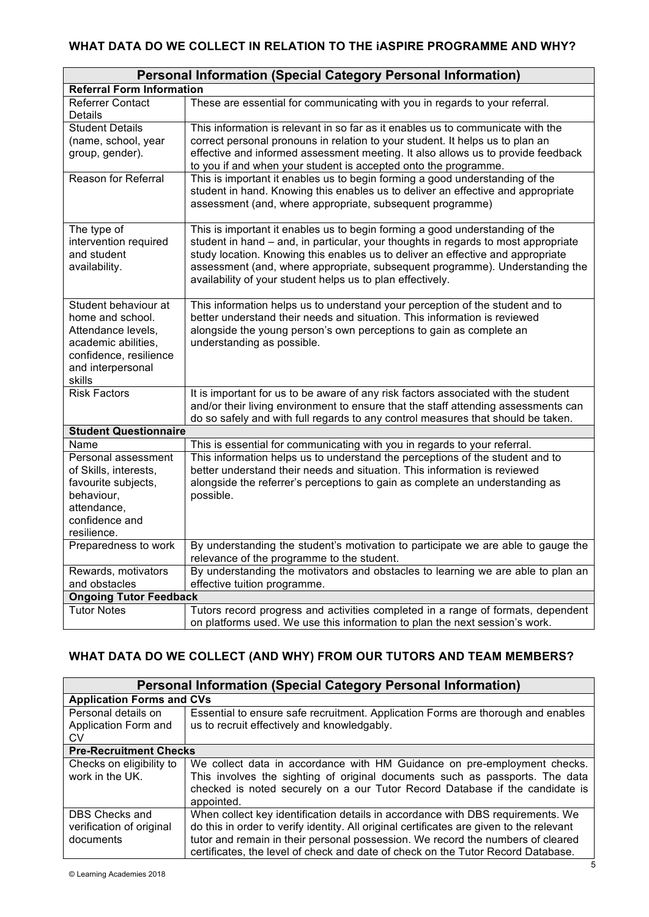## **WHAT DATA DO WE COLLECT IN RELATION TO THE iASPIRE PROGRAMME AND WHY?**

| <b>Personal Information (Special Category Personal Information)</b>                                                                            |                                                                                                                                                                                                                                                                                                                                                                                                     |  |  |
|------------------------------------------------------------------------------------------------------------------------------------------------|-----------------------------------------------------------------------------------------------------------------------------------------------------------------------------------------------------------------------------------------------------------------------------------------------------------------------------------------------------------------------------------------------------|--|--|
| <b>Referral Form Information</b>                                                                                                               |                                                                                                                                                                                                                                                                                                                                                                                                     |  |  |
| Referrer Contact<br>Details                                                                                                                    | These are essential for communicating with you in regards to your referral.                                                                                                                                                                                                                                                                                                                         |  |  |
| <b>Student Details</b><br>(name, school, year<br>group, gender).                                                                               | This information is relevant in so far as it enables us to communicate with the<br>correct personal pronouns in relation to your student. It helps us to plan an<br>effective and informed assessment meeting. It also allows us to provide feedback<br>to you if and when your student is accepted onto the programme.                                                                             |  |  |
| Reason for Referral                                                                                                                            | This is important it enables us to begin forming a good understanding of the<br>student in hand. Knowing this enables us to deliver an effective and appropriate<br>assessment (and, where appropriate, subsequent programme)                                                                                                                                                                       |  |  |
| The type of<br>intervention required<br>and student<br>availability.                                                                           | This is important it enables us to begin forming a good understanding of the<br>student in hand – and, in particular, your thoughts in regards to most appropriate<br>study location. Knowing this enables us to deliver an effective and appropriate<br>assessment (and, where appropriate, subsequent programme). Understanding the<br>availability of your student helps us to plan effectively. |  |  |
| Student behaviour at<br>home and school.<br>Attendance levels,<br>academic abilities,<br>confidence, resilience<br>and interpersonal<br>skills | This information helps us to understand your perception of the student and to<br>better understand their needs and situation. This information is reviewed<br>alongside the young person's own perceptions to gain as complete an<br>understanding as possible.                                                                                                                                     |  |  |
| <b>Risk Factors</b>                                                                                                                            | It is important for us to be aware of any risk factors associated with the student<br>and/or their living environment to ensure that the staff attending assessments can<br>do so safely and with full regards to any control measures that should be taken.                                                                                                                                        |  |  |
| <b>Student Questionnaire</b>                                                                                                                   |                                                                                                                                                                                                                                                                                                                                                                                                     |  |  |
| Name                                                                                                                                           | This is essential for communicating with you in regards to your referral.                                                                                                                                                                                                                                                                                                                           |  |  |
| Personal assessment<br>of Skills, interests,<br>favourite subjects,<br>behaviour,<br>attendance,<br>confidence and<br>resilience.              | This information helps us to understand the perceptions of the student and to<br>better understand their needs and situation. This information is reviewed<br>alongside the referrer's perceptions to gain as complete an understanding as<br>possible.                                                                                                                                             |  |  |
| Preparedness to work                                                                                                                           | By understanding the student's motivation to participate we are able to gauge the<br>relevance of the programme to the student.                                                                                                                                                                                                                                                                     |  |  |
| Rewards, motivators<br>and obstacles                                                                                                           | By understanding the motivators and obstacles to learning we are able to plan an<br>effective tuition programme.                                                                                                                                                                                                                                                                                    |  |  |
| <b>Ongoing Tutor Feedback</b>                                                                                                                  |                                                                                                                                                                                                                                                                                                                                                                                                     |  |  |
| <b>Tutor Notes</b>                                                                                                                             | Tutors record progress and activities completed in a range of formats, dependent<br>on platforms used. We use this information to plan the next session's work.                                                                                                                                                                                                                                     |  |  |

# **WHAT DATA DO WE COLLECT (AND WHY) FROM OUR TUTORS AND TEAM MEMBERS?**

| <b>Personal Information (Special Category Personal Information)</b> |                                                                                          |  |  |  |
|---------------------------------------------------------------------|------------------------------------------------------------------------------------------|--|--|--|
| <b>Application Forms and CVs</b>                                    |                                                                                          |  |  |  |
| Personal details on                                                 | Essential to ensure safe recruitment. Application Forms are thorough and enables         |  |  |  |
| Application Form and                                                | us to recruit effectively and knowledgably.                                              |  |  |  |
| CV.                                                                 |                                                                                          |  |  |  |
| <b>Pre-Recruitment Checks</b>                                       |                                                                                          |  |  |  |
| Checks on eligibility to                                            | We collect data in accordance with HM Guidance on pre-employment checks.                 |  |  |  |
| work in the UK.                                                     | This involves the sighting of original documents such as passports. The data             |  |  |  |
|                                                                     | checked is noted securely on a our Tutor Record Database if the candidate is             |  |  |  |
|                                                                     | appointed.                                                                               |  |  |  |
| DBS Checks and                                                      | When collect key identification details in accordance with DBS requirements. We          |  |  |  |
| verification of original                                            | do this in order to verify identity. All original certificates are given to the relevant |  |  |  |
| documents                                                           | tutor and remain in their personal possession. We record the numbers of cleared          |  |  |  |
|                                                                     | certificates, the level of check and date of check on the Tutor Record Database.         |  |  |  |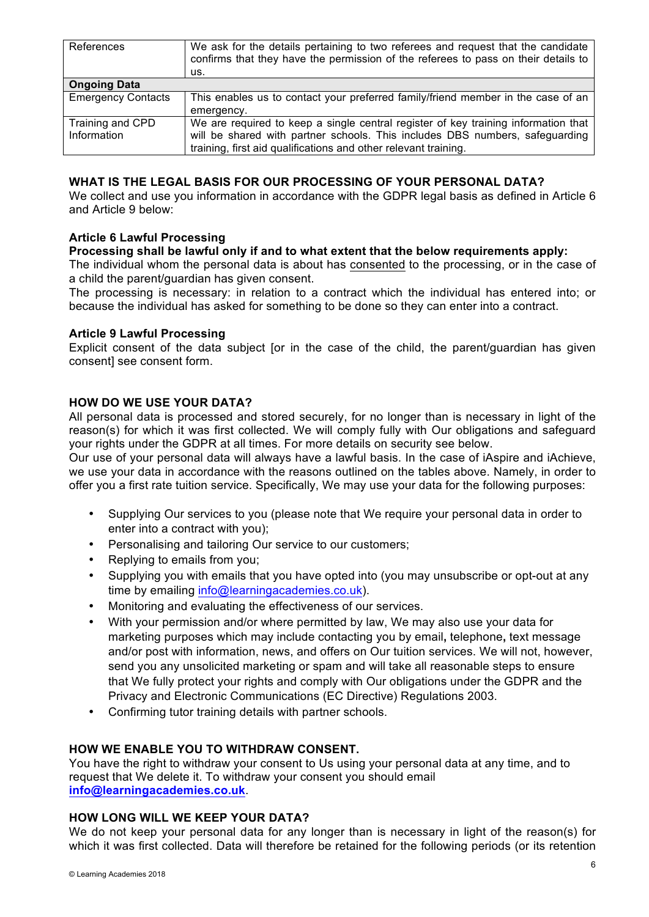| References                | We ask for the details pertaining to two referees and request that the candidate<br>confirms that they have the permission of the referees to pass on their details to<br>us. |  |
|---------------------------|-------------------------------------------------------------------------------------------------------------------------------------------------------------------------------|--|
| <b>Ongoing Data</b>       |                                                                                                                                                                               |  |
| <b>Emergency Contacts</b> | This enables us to contact your preferred family/friend member in the case of an                                                                                              |  |
|                           | emergency.                                                                                                                                                                    |  |
| Training and CPD          | We are required to keep a single central register of key training information that                                                                                            |  |
| Information               | will be shared with partner schools. This includes DBS numbers, safeguarding                                                                                                  |  |
|                           | training, first aid qualifications and other relevant training.                                                                                                               |  |

#### **WHAT IS THE LEGAL BASIS FOR OUR PROCESSING OF YOUR PERSONAL DATA?**

We collect and use you information in accordance with the GDPR legal basis as defined in Article 6 and Article 9 below:

#### **Article 6 Lawful Processing**

**Processing shall be lawful only if and to what extent that the below requirements apply:**

The individual whom the personal data is about has consented to the processing, or in the case of a child the parent/guardian has given consent.

The processing is necessary: in relation to a contract which the individual has entered into; or because the individual has asked for something to be done so they can enter into a contract.

#### **Article 9 Lawful Processing**

Explicit consent of the data subject [or in the case of the child, the parent/guardian has given consent] see consent form.

#### **HOW DO WE USE YOUR DATA?**

All personal data is processed and stored securely, for no longer than is necessary in light of the reason(s) for which it was first collected. We will comply fully with Our obligations and safeguard your rights under the GDPR at all times. For more details on security see below.

Our use of your personal data will always have a lawful basis. In the case of iAspire and iAchieve, we use your data in accordance with the reasons outlined on the tables above. Namely, in order to offer you a first rate tuition service. Specifically, We may use your data for the following purposes:

- Supplying Our services to you (please note that We require your personal data in order to enter into a contract with you);
- Personalising and tailoring Our service to our customers;
- Replying to emails from you;
- Supplying you with emails that you have opted into (you may unsubscribe or opt-out at any time by emailing info@learningacademies.co.uk).
- Monitoring and evaluating the effectiveness of our services.
- With your permission and/or where permitted by law, We may also use your data for marketing purposes which may include contacting you by email**,** telephone**,** text message and/or post with information, news, and offers on Our tuition services. We will not, however, send you any unsolicited marketing or spam and will take all reasonable steps to ensure that We fully protect your rights and comply with Our obligations under the GDPR and the Privacy and Electronic Communications (EC Directive) Regulations 2003.
- Confirming tutor training details with partner schools.

#### **HOW WE ENABLE YOU TO WITHDRAW CONSENT.**

You have the right to withdraw your consent to Us using your personal data at any time, and to request that We delete it. To withdraw your consent you should email **info@learningacademies.co.uk**.

#### **HOW LONG WILL WE KEEP YOUR DATA?**

We do not keep your personal data for any longer than is necessary in light of the reason(s) for which it was first collected. Data will therefore be retained for the following periods (or its retention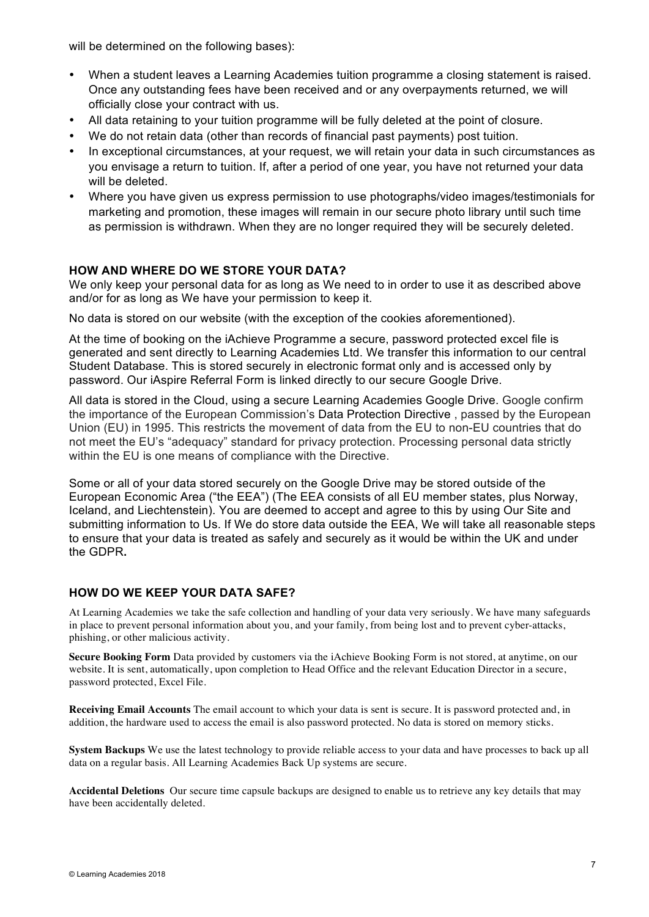will be determined on the following bases):

- When a student leaves a Learning Academies tuition programme a closing statement is raised. Once any outstanding fees have been received and or any overpayments returned, we will officially close your contract with us.
- All data retaining to your tuition programme will be fully deleted at the point of closure.
- We do not retain data (other than records of financial past payments) post tuition.
- In exceptional circumstances, at your request, we will retain your data in such circumstances as you envisage a return to tuition. If, after a period of one year, you have not returned your data will be deleted.
- Where you have given us express permission to use photographs/video images/testimonials for marketing and promotion, these images will remain in our secure photo library until such time as permission is withdrawn. When they are no longer required they will be securely deleted.

## **HOW AND WHERE DO WE STORE YOUR DATA?**

We only keep your personal data for as long as We need to in order to use it as described above and/or for as long as We have your permission to keep it.

No data is stored on our website (with the exception of the cookies aforementioned).

At the time of booking on the iAchieve Programme a secure, password protected excel file is generated and sent directly to Learning Academies Ltd. We transfer this information to our central Student Database. This is stored securely in electronic format only and is accessed only by password. Our iAspire Referral Form is linked directly to our secure Google Drive.

All data is stored in the Cloud, using a secure Learning Academies Google Drive. Google confirm the importance of the European Commission's Data Protection Directive , passed by the European Union (EU) in 1995. This restricts the movement of data from the EU to non-EU countries that do not meet the EU's "adequacy" standard for privacy protection. Processing personal data strictly within the EU is one means of compliance with the Directive.

Some or all of your data stored securely on the Google Drive may be stored outside of the European Economic Area ("the EEA") (The EEA consists of all EU member states, plus Norway, Iceland, and Liechtenstein). You are deemed to accept and agree to this by using Our Site and submitting information to Us. If We do store data outside the EEA, We will take all reasonable steps to ensure that your data is treated as safely and securely as it would be within the UK and under the GDPR**.** 

## **HOW DO WE KEEP YOUR DATA SAFE?**

At Learning Academies we take the safe collection and handling of your data very seriously. We have many safeguards in place to prevent personal information about you, and your family, from being lost and to prevent cyber-attacks, phishing, or other malicious activity.

**Secure Booking Form** Data provided by customers via the iAchieve Booking Form is not stored, at anytime, on our website. It is sent, automatically, upon completion to Head Office and the relevant Education Director in a secure, password protected, Excel File.

**Receiving Email Accounts** The email account to which your data is sent is secure. It is password protected and, in addition, the hardware used to access the email is also password protected. No data is stored on memory sticks.

**System Backups** We use the latest technology to provide reliable access to your data and have processes to back up all data on a regular basis. All Learning Academies Back Up systems are secure.

**Accidental Deletions** Our secure time capsule backups are designed to enable us to retrieve any key details that may have been accidentally deleted.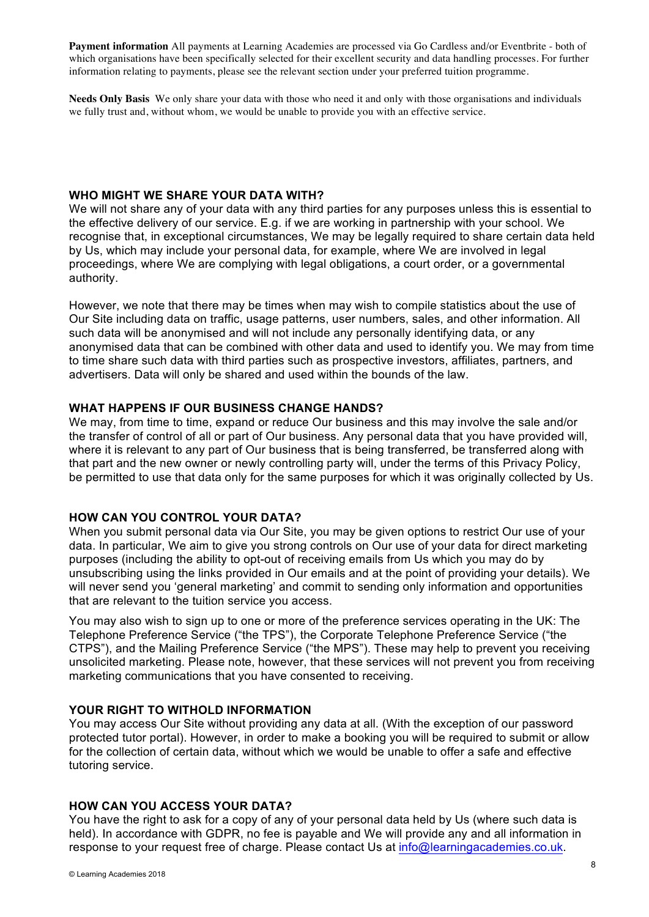**Payment information** All payments at Learning Academies are processed via Go Cardless and/or Eventbrite - both of which organisations have been specifically selected for their excellent security and data handling processes. For further information relating to payments, please see the relevant section under your preferred tuition programme.

**Needs Only Basis** We only share your data with those who need it and only with those organisations and individuals we fully trust and, without whom, we would be unable to provide you with an effective service.

#### **WHO MIGHT WE SHARE YOUR DATA WITH?**

We will not share any of your data with any third parties for any purposes unless this is essential to the effective delivery of our service. E.g. if we are working in partnership with your school. We recognise that, in exceptional circumstances, We may be legally required to share certain data held by Us, which may include your personal data, for example, where We are involved in legal proceedings, where We are complying with legal obligations, a court order, or a governmental authority.

However, we note that there may be times when may wish to compile statistics about the use of Our Site including data on traffic, usage patterns, user numbers, sales, and other information. All such data will be anonymised and will not include any personally identifying data, or any anonymised data that can be combined with other data and used to identify you. We may from time to time share such data with third parties such as prospective investors, affiliates, partners, and advertisers. Data will only be shared and used within the bounds of the law.

## **WHAT HAPPENS IF OUR BUSINESS CHANGE HANDS?**

We may, from time to time, expand or reduce Our business and this may involve the sale and/or the transfer of control of all or part of Our business. Any personal data that you have provided will, where it is relevant to any part of Our business that is being transferred, be transferred along with that part and the new owner or newly controlling party will, under the terms of this Privacy Policy, be permitted to use that data only for the same purposes for which it was originally collected by Us.

## **HOW CAN YOU CONTROL YOUR DATA?**

When you submit personal data via Our Site, you may be given options to restrict Our use of your data. In particular, We aim to give you strong controls on Our use of your data for direct marketing purposes (including the ability to opt-out of receiving emails from Us which you may do by unsubscribing using the links provided in Our emails and at the point of providing your details). We will never send you 'general marketing' and commit to sending only information and opportunities that are relevant to the tuition service you access.

You may also wish to sign up to one or more of the preference services operating in the UK: The Telephone Preference Service ("the TPS"), the Corporate Telephone Preference Service ("the CTPS"), and the Mailing Preference Service ("the MPS"). These may help to prevent you receiving unsolicited marketing. Please note, however, that these services will not prevent you from receiving marketing communications that you have consented to receiving.

## **YOUR RIGHT TO WITHOLD INFORMATION**

You may access Our Site without providing any data at all. (With the exception of our password protected tutor portal). However, in order to make a booking you will be required to submit or allow for the collection of certain data, without which we would be unable to offer a safe and effective tutoring service.

## **HOW CAN YOU ACCESS YOUR DATA?**

You have the right to ask for a copy of any of your personal data held by Us (where such data is held). In accordance with GDPR, no fee is payable and We will provide any and all information in response to your request free of charge. Please contact Us at info@learningacademies.co.uk.